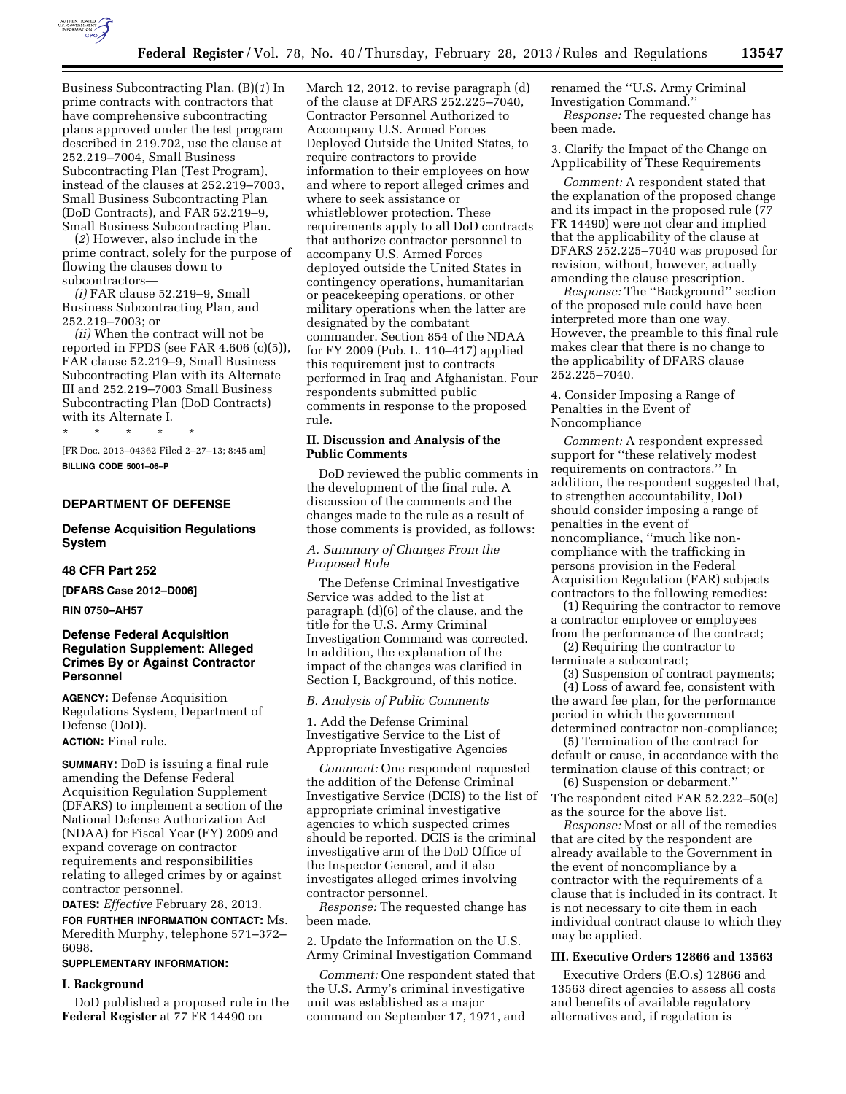

Business Subcontracting Plan. (B)(*1*) In prime contracts with contractors that have comprehensive subcontracting plans approved under the test program described in 219.702, use the clause at 252.219–7004, Small Business Subcontracting Plan (Test Program), instead of the clauses at 252.219–7003, Small Business Subcontracting Plan (DoD Contracts), and FAR 52.219–9, Small Business Subcontracting Plan.

(*2*) However, also include in the prime contract, solely for the purpose of flowing the clauses down to subcontractors—

*(i)* FAR clause 52.219–9, Small Business Subcontracting Plan, and 252.219–7003; or

*(ii)* When the contract will not be reported in FPDS (see FAR 4.606 (c)(5)), FAR clause 52.219–9, Small Business Subcontracting Plan with its Alternate III and 252.219–7003 Small Business Subcontracting Plan (DoD Contracts) with its Alternate I.

\* \* \* \* \*

[FR Doc. 2013–04362 Filed 2–27–13; 8:45 am] **BILLING CODE 5001–06–P** 

#### **DEPARTMENT OF DEFENSE**

# **Defense Acquisition Regulations System**

#### **48 CFR Part 252**

**[DFARS Case 2012–D006]** 

**RIN 0750–AH57** 

## **Defense Federal Acquisition Regulation Supplement: Alleged Crimes By or Against Contractor Personnel**

**AGENCY:** Defense Acquisition Regulations System, Department of Defense (DoD).

**ACTION:** Final rule.

**SUMMARY:** DoD is issuing a final rule amending the Defense Federal Acquisition Regulation Supplement (DFARS) to implement a section of the National Defense Authorization Act (NDAA) for Fiscal Year (FY) 2009 and expand coverage on contractor requirements and responsibilities relating to alleged crimes by or against contractor personnel.

**DATES:** *Effective* February 28, 2013. **FOR FURTHER INFORMATION CONTACT:** Ms. Meredith Murphy, telephone 571–372– 6098.

## **SUPPLEMENTARY INFORMATION:**

## **I. Background**

DoD published a proposed rule in the **Federal Register** at 77 FR 14490 on

March 12, 2012, to revise paragraph (d) of the clause at DFARS 252.225–7040, Contractor Personnel Authorized to Accompany U.S. Armed Forces Deployed Outside the United States, to require contractors to provide information to their employees on how and where to report alleged crimes and where to seek assistance or whistleblower protection. These requirements apply to all DoD contracts that authorize contractor personnel to accompany U.S. Armed Forces deployed outside the United States in contingency operations, humanitarian or peacekeeping operations, or other military operations when the latter are designated by the combatant commander. Section 854 of the NDAA for FY 2009 (Pub. L. 110–417) applied this requirement just to contracts performed in Iraq and Afghanistan. Four respondents submitted public comments in response to the proposed rule.

### **II. Discussion and Analysis of the Public Comments**

DoD reviewed the public comments in the development of the final rule. A discussion of the comments and the changes made to the rule as a result of those comments is provided, as follows:

## *A. Summary of Changes From the Proposed Rule*

The Defense Criminal Investigative Service was added to the list at paragraph (d)(6) of the clause, and the title for the U.S. Army Criminal Investigation Command was corrected. In addition, the explanation of the impact of the changes was clarified in Section I, Background, of this notice.

#### *B. Analysis of Public Comments*

1. Add the Defense Criminal Investigative Service to the List of Appropriate Investigative Agencies

*Comment:* One respondent requested the addition of the Defense Criminal Investigative Service (DCIS) to the list of appropriate criminal investigative agencies to which suspected crimes should be reported. DCIS is the criminal investigative arm of the DoD Office of the Inspector General, and it also investigates alleged crimes involving contractor personnel.

*Response:* The requested change has been made.

2. Update the Information on the U.S. Army Criminal Investigation Command

*Comment:* One respondent stated that the U.S. Army's criminal investigative unit was established as a major command on September 17, 1971, and

renamed the ''U.S. Army Criminal Investigation Command.'' *Response:* The requested change has been made.

3. Clarify the Impact of the Change on Applicability of These Requirements

*Comment:* A respondent stated that the explanation of the proposed change and its impact in the proposed rule (77 FR 14490) were not clear and implied that the applicability of the clause at DFARS 252.225–7040 was proposed for revision, without, however, actually amending the clause prescription.

*Response:* The ''Background'' section of the proposed rule could have been interpreted more than one way. However, the preamble to this final rule makes clear that there is no change to the applicability of DFARS clause 252.225–7040.

4. Consider Imposing a Range of Penalties in the Event of Noncompliance

*Comment:* A respondent expressed support for ''these relatively modest requirements on contractors.'' In addition, the respondent suggested that, to strengthen accountability, DoD should consider imposing a range of penalties in the event of noncompliance, ''much like noncompliance with the trafficking in persons provision in the Federal Acquisition Regulation (FAR) subjects contractors to the following remedies:

(1) Requiring the contractor to remove a contractor employee or employees from the performance of the contract;

(2) Requiring the contractor to terminate a subcontract;

(3) Suspension of contract payments; (4) Loss of award fee, consistent with the award fee plan, for the performance

period in which the government determined contractor non-compliance; (5) Termination of the contract for

default or cause, in accordance with the termination clause of this contract; or (6) Suspension or debarment.''

The respondent cited FAR 52.222–50(e) as the source for the above list.

*Response:* Most or all of the remedies that are cited by the respondent are already available to the Government in the event of noncompliance by a contractor with the requirements of a clause that is included in its contract. It is not necessary to cite them in each individual contract clause to which they may be applied.

## **III. Executive Orders 12866 and 13563**

Executive Orders (E.O.s) 12866 and 13563 direct agencies to assess all costs and benefits of available regulatory alternatives and, if regulation is